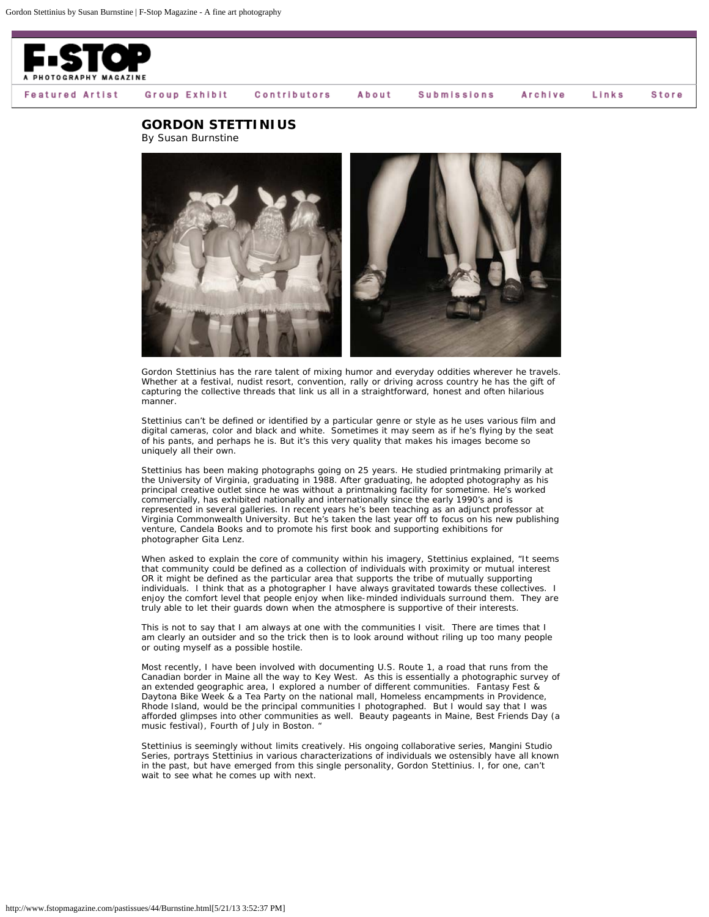

Group Exhibit Contributors About **Submissions**  Archive Links

Store

**GORDON STETTINIUS**

By Susan Burnstine



Gordon Stettinius has the rare talent of mixing humor and everyday oddities wherever he travels. Whether at a festival, nudist resort, convention, rally or driving across country he has the gift of capturing the collective threads that link us all in a straightforward, honest and often hilarious manner.

Stettinius can't be defined or identified by a particular genre or style as he uses various film and digital cameras, color and black and white. Sometimes it may seem as if he's flying by the seat of his pants, and perhaps he is. But it's this very quality that makes his images become so uniquely all their own.

Stettinius has been making photographs going on 25 years. He studied printmaking primarily at the University of Virginia, graduating in 1988. After graduating, he adopted photography as his principal creative outlet since he was without a printmaking facility for sometime. He's worked commercially, has exhibited nationally and internationally since the early 1990's and is represented in several galleries. In recent years he's been teaching as an adjunct professor at Virginia Commonwealth University. But he's taken the last year off to focus on his new publishing venture, Candela Books and to promote his first book and supporting exhibitions for photographer Gita Lenz.

When asked to explain the core of community within his imagery, Stettinius explained, "It seems that community could be defined as a collection of individuals with proximity or mutual interest OR it might be defined as the particular area that supports the tribe of mutually supporting individuals. I think that as a photographer I have always gravitated towards these collectives. I enjoy the comfort level that people enjoy when like-minded individuals surround them. They are truly able to let their guards down when the atmosphere is supportive of their interests.

This is not to say that I am always at one with the communities I visit. There are times that I am clearly an outsider and so the trick then is to look around without riling up too many people or outing myself as a possible hostile.

Most recently, I have been involved with documenting U.S. Route 1, a road that runs from the Canadian border in Maine all the way to Key West. As this is essentially a photographic survey of an extended geographic area, I explored a number of different communities. Fantasy Fest & Daytona Bike Week & a Tea Party on the national mall, Homeless encampments in Providence, Rhode Island, would be the principal communities I photographed. But I would say that I was afforded glimpses into other communities as well. Beauty pageants in Maine, Best Friends Day (a music festival), Fourth of July in Boston. '

Stettinius is seemingly without limits creatively. His ongoing collaborative series, Mangini Studio Series, portrays Stettinius in various characterizations of individuals we ostensibly have all known in the past, but have emerged from this single personality, Gordon Stettinius. I, for one, can't wait to see what he comes up with next.